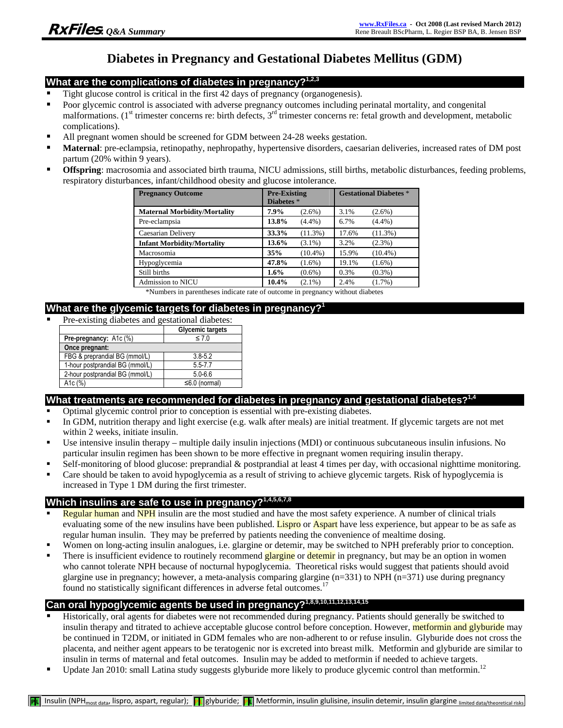# **Diabetes in Pregnancy and Gestational Diabetes Mellitus (GDM)**

### **What are the complications of diabetes in pregnancy?1,2,3**

- Tight glucose control is critical in the first 42 days of pregnancy (organogenesis).
- Poor glycemic control is associated with adverse pregnancy outcomes including perinatal mortality, and congenital malformations. ( $1<sup>st</sup>$  trimester concerns re: birth defects,  $3<sup>rd</sup>$  trimester concerns re: fetal growth and development, metabolic complications).
- All pregnant women should be screened for GDM between 24-28 weeks gestation.
- **Maternal**: pre-eclampsia, retinopathy, nephropathy, hypertensive disorders, caesarian deliveries, increased rates of DM post partum (20% within 9 years).
- **Offspring**: macrosomia and associated birth trauma, NICU admissions, still births, metabolic disturbances, feeding problems, respiratory disturbances, infant/childhood obesity and glucose intolerance.

| <b>Pregnancy Outcome</b>            | <b>Pre-Existing</b><br>Diabetes * |            | <b>Gestational Diabetes *</b> |            |
|-------------------------------------|-----------------------------------|------------|-------------------------------|------------|
| <b>Maternal Morbidity/Mortality</b> | 7.9%                              | $(2.6\%)$  | 3.1%                          | $(2.6\%)$  |
| Pre-eclampsia                       | 13.8%                             | $(4.4\%)$  | 6.7%                          | $(4.4\%)$  |
| Caesarian Delivery                  | 33.3%                             | (11.3%)    | 17.6%                         | $(11.3\%)$ |
| <b>Infant Morbidity/Mortality</b>   | 13.6%                             | $(3.1\%)$  | 3.2%                          | $(2.3\%)$  |
| Macrosomia                          | 35%                               | $(10.4\%)$ | 15.9%                         | $(10.4\%)$ |
| Hypoglycemia                        | 47.8%                             | $(1.6\%)$  | 19.1%                         | $(1.6\%)$  |
| Still births                        | 1.6%                              | $(0.6\%)$  | 0.3%                          | $(0.3\%)$  |
| <b>Admission to NICU</b>            | 10.4%                             | $(2.1\%)$  | 2.4%                          | $(1.7\%)$  |

\*Numbers in parentheses indicate rate of outcome in pregnancy without diabetes

### **What are the glycemic targets for diabetes in pregnancy?1**

Pre-existing diabetes and gestational diabetes:

|                                 | Glycemic targets    |  |
|---------------------------------|---------------------|--|
| Pre-pregnancy: A1c (%)          | $\leq 7.0$          |  |
| Once pregnant:                  |                     |  |
| FBG & preprandial BG (mmol/L)   | $3.8 - 5.2$         |  |
| 1-hour postprandial BG (mmol/L) | $5.5 - 7.7$         |  |
| 2-hour postprandial BG (mmol/L) | $5.0 - 6.6$         |  |
| A1c (%)                         | $\leq 6.0$ (normal) |  |

### What treatments are recommended for diabetes in pregnancy and gestational diabetes?<sup>1,4</sup>

- Optimal glycemic control prior to conception is essential with pre-existing diabetes.
- In GDM, nutrition therapy and light exercise (e.g. walk after meals) are initial treatment. If glycemic targets are not met within 2 weeks, initiate insulin.
- Use intensive insulin therapy multiple daily insulin injections (MDI) or continuous subcutaneous insulin infusions. No particular insulin regimen has been shown to be more effective in pregnant women requiring insulin therapy.
- Self-monitoring of blood glucose: preprandial & postprandial at least 4 times per day, with occasional nighttime monitoring.
- Care should be taken to avoid hypoglycemia as a result of striving to achieve glycemic targets. Risk of hypoglycemia is increased in Type 1 DM during the first trimester.

## **Which insulins are safe to use in pregnancy?1,4,5,6,7,8**

- Regular human and NPH insulin are the most studied and have the most safety experience. A number of clinical trials evaluating some of the new insulins have been published. Lispro or Aspart have less experience, but appear to be as safe as regular human insulin. They may be preferred by patients needing the convenience of mealtime dosing.
- Women on long-acting insulin analogues, i.e. glargine or detemir, may be switched to NPH preferably prior to conception.
- There is insufficient evidence to routinely recommend glargine or detemir in pregnancy, but may be an option in women who cannot tolerate NPH because of nocturnal hypoglycemia. Theoretical risks would suggest that patients should avoid glargine use in pregnancy; however, a meta-analysis comparing glargine (n=331) to NPH (n=371) use during pregnancy found no statistically significant differences in adverse fetal outcomes.<sup>17</sup>

# **Can oral hypoglycemic agents be used in pregnancy?1,8,9,10,11,12,13,14,15**

- Historically, oral agents for diabetes were not recommended during pregnancy. Patients should generally be switched to insulin therapy and titrated to achieve acceptable glucose control before conception. However, metformin and glyburide may be continued in T2DM, or initiated in GDM females who are non-adherent to or refuse insulin. Glyburide does not cross the placenta, and neither agent appears to be teratogenic nor is excreted into breast milk. Metformin and glyburide are similar to insulin in terms of maternal and fetal outcomes. Insulin may be added to metformin if needed to achieve targets.
- Update Jan 2010: small Latina study suggests glyburide more likely to produce glycemic control than metformin.<sup>12</sup>